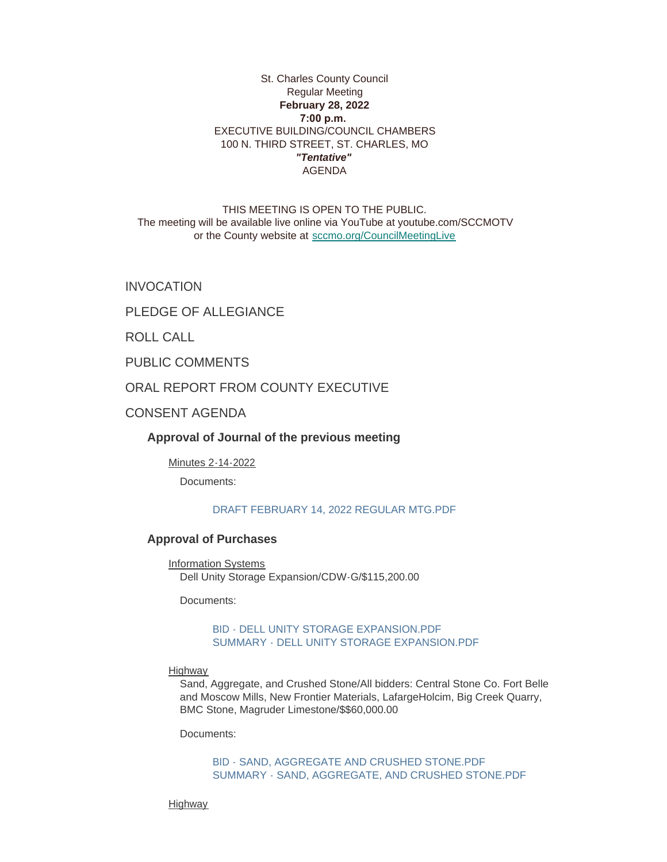### St. Charles County Council Regular Meeting **February 28, 2022 7:00 p.m.**  EXECUTIVE BUILDING/COUNCIL CHAMBERS 100 N. THIRD STREET, ST. CHARLES, MO *"Tentative"* AGENDA

THIS MEETING IS OPEN TO THE PUBLIC. The meeting will be available live online via YouTube at youtube.com/SCCMOTV or the County website at [sccmo.org/CouncilMeetingLive](https://sccmo.org/CouncilMeetingLive)

INVOCATION

PLEDGE OF ALLEGIANCE

ROLL CALL

PUBLIC COMMENTS

ORAL REPORT FROM COUNTY EXECUTIVE

CONSENT AGENDA

**Approval of Journal of the previous meeting**

Minutes 2-14-2022

Documents:

#### [DRAFT FEBRUARY 14, 2022 REGULAR MTG.PDF](https://www.sccmo.org/AgendaCenter/ViewFile/Item/10656?fileID=31705)

## **Approval of Purchases**

Information Systems Dell Unity Storage Expansion/CDW-G/\$115,200.00

Documents:

### [BID - DELL UNITY STORAGE EXPANSION.PDF](https://www.sccmo.org/AgendaCenter/ViewFile/Item/10648?fileID=31724) [SUMMARY - DELL UNITY STORAGE EXPANSION.PDF](https://www.sccmo.org/AgendaCenter/ViewFile/Item/10648?fileID=31725)

**Highway** 

Sand, Aggregate, and Crushed Stone/All bidders: Central Stone Co. Fort Belle and Moscow Mills, New Frontier Materials, LafargeHolcim, Big Creek Quarry, BMC Stone, Magruder Limestone/\$\$60,000.00

Documents:

[BID - SAND, AGGREGATE AND CRUSHED STONE.PDF](https://www.sccmo.org/AgendaCenter/ViewFile/Item/10649?fileID=31722) [SUMMARY - SAND, AGGREGATE, AND CRUSHED STONE.PDF](https://www.sccmo.org/AgendaCenter/ViewFile/Item/10649?fileID=31723)

Highway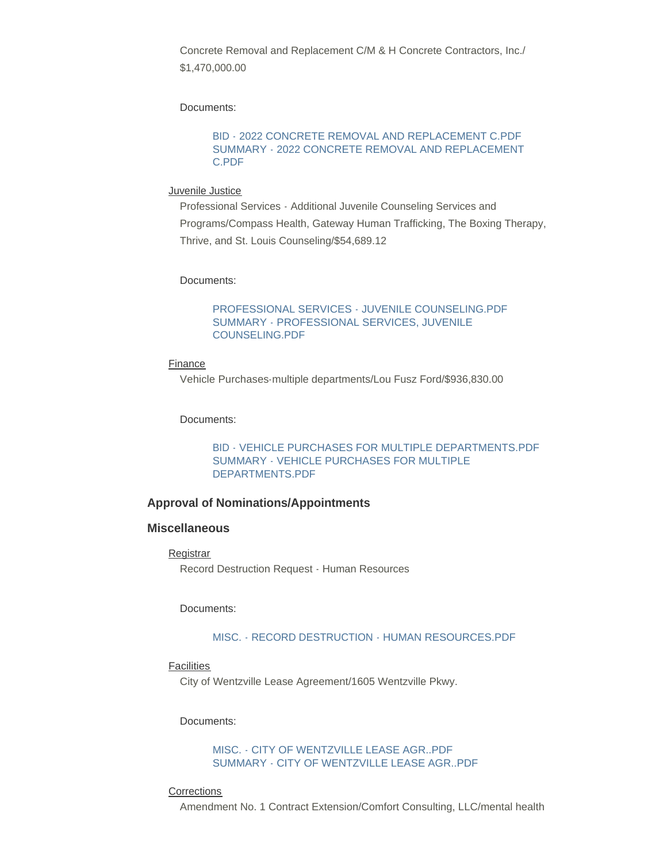Concrete Removal and Replacement C/M & H Concrete Contractors, Inc./ \$1,470,000.00

Documents:

#### [BID - 2022 CONCRETE REMOVAL AND REPLACEMENT C.PDF](https://www.sccmo.org/AgendaCenter/ViewFile/Item/10650?fileID=31719) [SUMMARY - 2022 CONCRETE REMOVAL AND REPLACEMENT](https://www.sccmo.org/AgendaCenter/ViewFile/Item/10650?fileID=31720)  C.PDF

#### Juvenile Justice

Professional Services - Additional Juvenile Counseling Services and Programs/Compass Health, Gateway Human Trafficking, The Boxing Therapy, Thrive, and St. Louis Counseling/\$54,689.12

Documents:

[PROFESSIONAL SERVICES - JUVENILE COUNSELING.PDF](https://www.sccmo.org/AgendaCenter/ViewFile/Item/10655?fileID=31703) [SUMMARY - PROFESSIONAL SERVICES, JUVENILE](https://www.sccmo.org/AgendaCenter/ViewFile/Item/10655?fileID=31704)  COUNSELING.PDF

#### Finance

Vehicle Purchases-multiple departments/Lou Fusz Ford/\$936,830.00

Documents:

[BID - VEHICLE PURCHASES FOR MULTIPLE DEPARTMENTS.PDF](https://www.sccmo.org/AgendaCenter/ViewFile/Item/10658?fileID=31707) [SUMMARY - VEHICLE PURCHASES FOR MULTIPLE](https://www.sccmo.org/AgendaCenter/ViewFile/Item/10658?fileID=31708)  DEPARTMENTS.PDF

### **Approval of Nominations/Appointments**

## **Miscellaneous**

**Registrar** 

Record Destruction Request - Human Resources

#### Documents:

### [MISC. - RECORD DESTRUCTION - HUMAN RESOURCES.PDF](https://www.sccmo.org/AgendaCenter/ViewFile/Item/10637?fileID=31685)

#### **Facilities**

City of Wentzville Lease Agreement/1605 Wentzville Pkwy.

Documents:

[MISC. - CITY OF WENTZVILLE LEASE AGR..PDF](https://www.sccmo.org/AgendaCenter/ViewFile/Item/10654?fileID=31701) [SUMMARY - CITY OF WENTZVILLE LEASE AGR..PDF](https://www.sccmo.org/AgendaCenter/ViewFile/Item/10654?fileID=31702)

#### **Corrections**

Amendment No. 1 Contract Extension/Comfort Consulting, LLC/mental health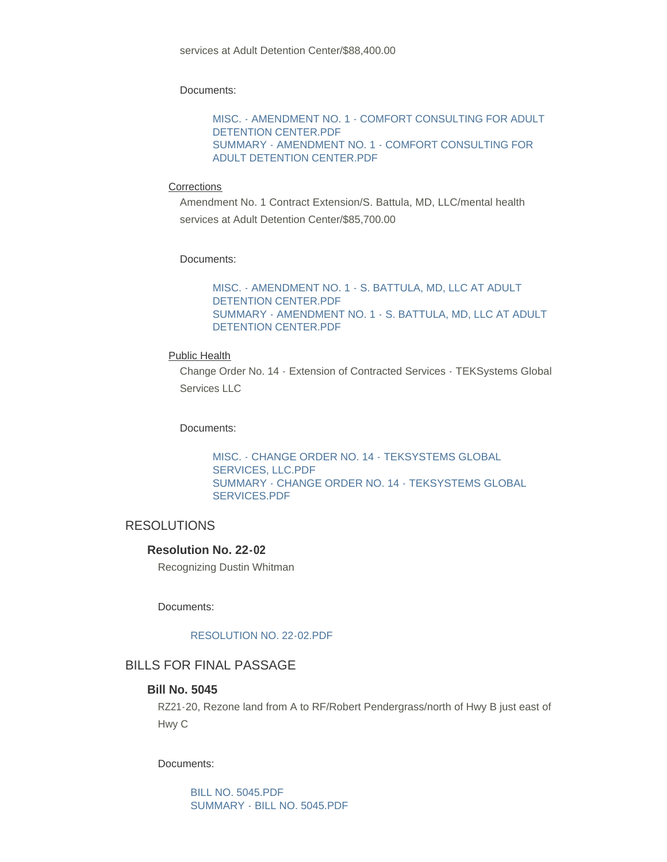Documents:

[MISC. - AMENDMENT NO. 1 - COMFORT CONSULTING FOR ADULT](https://www.sccmo.org/AgendaCenter/ViewFile/Item/10651?fileID=31694)  DETENTION CENTER.PDF [SUMMARY - AMENDMENT NO. 1 - COMFORT CONSULTING FOR](https://www.sccmo.org/AgendaCenter/ViewFile/Item/10651?fileID=31695)  ADULT DETENTION CENTER.PDF

#### **Corrections**

Amendment No. 1 Contract Extension/S. Battula, MD, LLC/mental health services at Adult Detention Center/\$85,700.00

#### Documents:

[MISC. - AMENDMENT NO. 1 - S. BATTULA, MD, LLC AT ADULT](https://www.sccmo.org/AgendaCenter/ViewFile/Item/10652?fileID=31696)  DETENTION CENTER.PDF [SUMMARY - AMENDMENT NO. 1 - S. BATTULA, MD, LLC AT ADULT](https://www.sccmo.org/AgendaCenter/ViewFile/Item/10652?fileID=31697)  DETENTION CENTER.PDF

#### Public Health

Change Order No. 14 - Extension of Contracted Services - TEKSystems Global Services LLC

#### Documents:

[MISC. - CHANGE ORDER NO. 14 - TEKSYSTEMS GLOBAL](https://www.sccmo.org/AgendaCenter/ViewFile/Item/10660?fileID=31729)  SERVICES, LLC.PDF [SUMMARY - CHANGE ORDER NO. 14 - TEKSYSTEMS GLOBAL](https://www.sccmo.org/AgendaCenter/ViewFile/Item/10660?fileID=31730)  SERVICES.PDF

## RESOLUTIONS

## **Resolution No. 22-02**

Recognizing Dustin Whitman

Documents:

#### [RESOLUTION NO. 22-02.PDF](https://www.sccmo.org/AgendaCenter/ViewFile/Item/10659?fileID=31721)

## BILLS FOR FINAL PASSAGE

# **Bill No. 5045**

RZ21-20, Rezone land from A to RF/Robert Pendergrass/north of Hwy B just east of Hwy C

Documents:

[BILL NO. 5045.PDF](https://www.sccmo.org/AgendaCenter/ViewFile/Item/10628?fileID=31672) [SUMMARY - BILL NO. 5045.PDF](https://www.sccmo.org/AgendaCenter/ViewFile/Item/10628?fileID=31673)